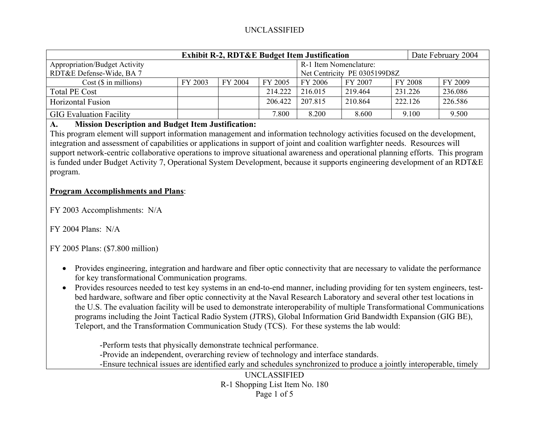# UNCLASSIFIED

| <b>Exhibit R-2, RDT&amp;E Budget Item Justification</b> |         |         |         |                              |         |         | Date February 2004 |  |
|---------------------------------------------------------|---------|---------|---------|------------------------------|---------|---------|--------------------|--|
| <b>Appropriation/Budget Activity</b>                    |         |         |         | R-1 Item Nomenclature:       |         |         |                    |  |
| RDT&E Defense-Wide, BA 7                                |         |         |         | Net Centricity PE 0305199D8Z |         |         |                    |  |
| $Cost$ ( $\$\$ in millions)                             | FY 2003 | FY 2004 | FY 2005 | FY 2006                      | FY 2007 | FY 2008 | FY 2009            |  |
| Total PE Cost                                           |         |         | 214.222 | 216 015                      | 219.464 | 231.226 | 236.086            |  |
| <b>Horizontal Fusion</b>                                |         |         | 206.422 | 207.815                      | 210.864 | 222.126 | 226.586            |  |
| <b>GIG Evaluation Facility</b>                          |         |         | 7.800   | 8.200                        | 8.600   | 9.100   | 9.500              |  |

#### **A.Mission Description and Budget Item Justification:**

This program element will support information management and information technology activities focused on the development, integration and assessment of capabilities or applications in support of joint and coalition warfighter needs. Resources will support network-centric collaborative operations to improve situational awareness and operational planning efforts. This program is funded under Budget Activity 7, Operational System Development, because it supports engineering development of an RDT&E program.

# **Program Accomplishments and Plans**:

FY 2003 Accomplishments: N/A

 $FY$  2004 Plans: N/A

FY 2005 Plans: (\$7.800 million)

- Provides engineering, integration and hardware and fiber optic connectivity that are necessary to validate the performance for key transformational Communication programs.
- Provides resources needed to test key systems in an end-to-end manner, including providing for ten system engineers, testbed hardware, software and fiber optic connectivity at the Naval Research Laboratory and several other test locations in the U.S. The evaluation facility will be used to demonstrate interoperability of multiple Transformational Communications programs including the Joint Tactical Radio System (JTRS), Global Information Grid Bandwidth Expansion (GIG BE), Teleport, and the Transformation Communication Study (TCS). For these systems the lab would:

-Perform tests that physically demonstrate technical performance. -Provide an independent, overarching review of technology and interface standards. -Ensure technical issues are identified early and schedules synchronized to produce a jointly interoperable, timely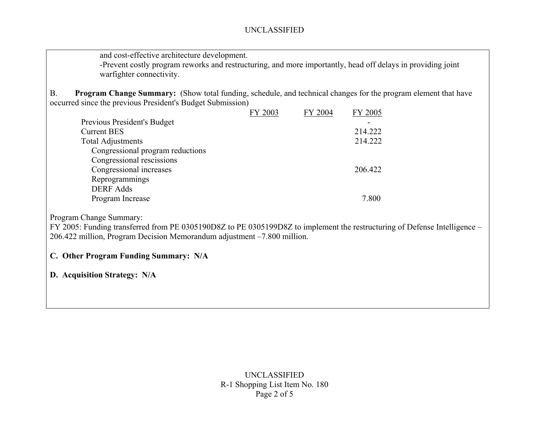and cost-effective architecture development.

-Prevent costly program reworks and restructuring, and more importantly, head off delays in providing joint warfighter connectivity.

B. **Program Change Summary:** (Show total funding, schedule, and technical changes for the program element that have occurred since the previous President's Budget Submission)

|                                  | FY 2003 | FY 2004 | FY 2005 |
|----------------------------------|---------|---------|---------|
| Previous President's Budget      |         |         |         |
| <b>Current BES</b>               |         |         | 214.222 |
| <b>Total Adjustments</b>         |         |         | 214.222 |
| Congressional program reductions |         |         |         |
| Congressional rescissions        |         |         |         |
| Congressional increases          |         |         | 206.422 |
| Reprogrammings                   |         |         |         |
| <b>DERF</b> Adds                 |         |         |         |
| Program Increase                 |         |         | 7.800   |

Program Change Summary:

FY 2005: Funding transferred from PE 0305190D8Z to PE 0305199D8Z to implement the restructuring of Defense Intelligence – 206.422 million, Program Decision Memorandum adjustment –7.800 million.

#### **C. Other Program Funding Summary: N/A**

**D. Acquisition Strategy: N/A**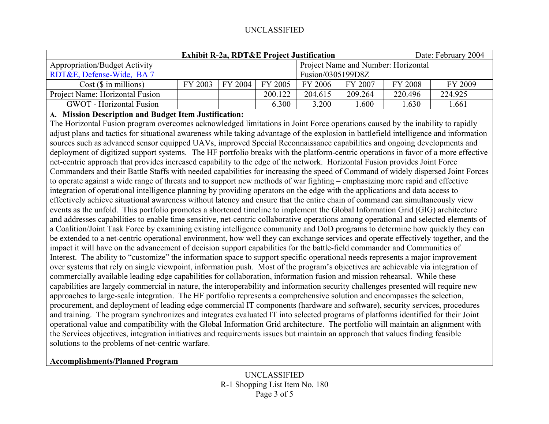| <b>Exhibit R-2a, RDT&amp;E Project Justification</b> |                                     |                               |         |                   |         |         |      | Date: February 2004 |  |
|------------------------------------------------------|-------------------------------------|-------------------------------|---------|-------------------|---------|---------|------|---------------------|--|
| <b>Appropriation/Budget Activity</b>                 | Project Name and Number: Horizontal |                               |         |                   |         |         |      |                     |  |
| RDT&E, Defense-Wide, BA 7                            |                                     |                               |         | Fusion/0305199D8Z |         |         |      |                     |  |
| $Cost$ ( $\$\$ in millions)                          | FY 2003                             | $\mid$ FY 2004 $\mid$ FY 2005 |         | FY 2006           | FY 2007 | FY 2008 |      | FY 2009             |  |
| Project Name: Horizontal Fusion                      |                                     |                               | 200.122 | 204.615           | 209.264 | 220.496 |      | 224.925             |  |
| <b>GWOT</b> - Horizontal Fusion                      |                                     |                               | 6.300   | 3.200             | .600    |         | .630 | .661                |  |

## **A. Mission Description and Budget Item Justification:**

The Horizontal Fusion program overcomes acknowledged limitations in Joint Force operations caused by the inability to rapidly adjust plans and tactics for situational awareness while taking advantage of the explosion in battlefield intelligence and information sources such as advanced sensor equipped UAVs, improved Special Reconnaissance capabilities and ongoing developments and deployment of digitized support systems. The HF portfolio breaks with the platform-centric operations in favor of a more effective net-centric approach that provides increased capability to the edge of the network. Horizontal Fusion provides Joint Force Commanders and their Battle Staffs with needed capabilities for increasing the speed of Command of widely dispersed Joint Forces to operate against a wide range of threats and to support new methods of war fighting – emphasizing more rapid and effective integration of operational intelligence planning by providing operators on the edge with the applications and data access to effectively achieve situational awareness without latency and ensure that the entire chain of command can simultaneously view events as the unfold. This portfolio promotes a shortened timeline to implement the Global Information Grid (GIG) architecture and addresses capabilities to enable time sensitive, net-centric collaborative operations among operational and selected elements of a Coalition/Joint Task Force by examining existing intelligence community and DoD programs to determine how quickly they can be extended to a net-centric operational environment, how well they can exchange services and operate effectively together, and the impact it will have on the advancement of decision support capabilities for the battle-field commander and Communities of Interest. The ability to "customize" the information space to support specific operational needs represents a major improvement over systems that rely on single viewpoint, information push. Most of the program's objectives are achievable via integration of commercially available leading edge capabilities for collaboration, information fusion and mission rehearsal. While these capabilities are largely commercial in nature, the interoperability and information security challenges presented will require new approaches to large-scale integration. The HF portfolio represents a comprehensive solution and encompasses the selection, procurement, and deployment of leading edge commercial IT components (hardware and software), security services, procedures and training. The program synchronizes and integrates evaluated IT into selected programs of platforms identified for their Joint operational value and compatibility with the Global Information Grid architecture. The portfolio will maintain an alignment with the Services objectives, integration initiatives and requirements issues but maintain an approach that values finding feasible solutions to the problems of net-centric warfare.

#### **Accomplishments/Planned Program**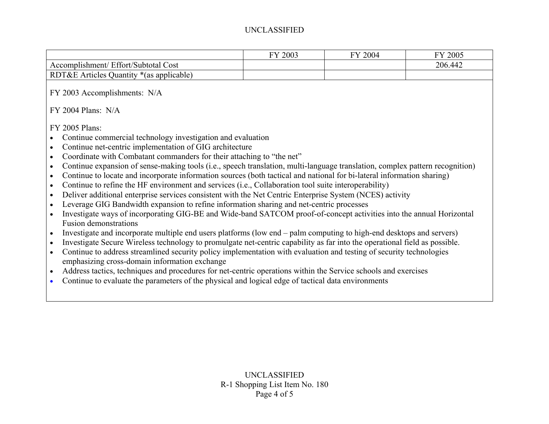## UNCLASSIFIED

|                                                                                                                                                                                                                                                                                                                                                                                                                                                                                                                                                                                                                                                                                                                                                                                                                                                                                                                                                                                                                                                                                                                                                                                                                                                                                                                                                                                                                                                                                                                                                                                                                                                                                                                                                                       | FY 2003 | FY 2004 | FY 2005 |
|-----------------------------------------------------------------------------------------------------------------------------------------------------------------------------------------------------------------------------------------------------------------------------------------------------------------------------------------------------------------------------------------------------------------------------------------------------------------------------------------------------------------------------------------------------------------------------------------------------------------------------------------------------------------------------------------------------------------------------------------------------------------------------------------------------------------------------------------------------------------------------------------------------------------------------------------------------------------------------------------------------------------------------------------------------------------------------------------------------------------------------------------------------------------------------------------------------------------------------------------------------------------------------------------------------------------------------------------------------------------------------------------------------------------------------------------------------------------------------------------------------------------------------------------------------------------------------------------------------------------------------------------------------------------------------------------------------------------------------------------------------------------------|---------|---------|---------|
| Accomplishment/ Effort/Subtotal Cost                                                                                                                                                                                                                                                                                                                                                                                                                                                                                                                                                                                                                                                                                                                                                                                                                                                                                                                                                                                                                                                                                                                                                                                                                                                                                                                                                                                                                                                                                                                                                                                                                                                                                                                                  |         |         | 206.442 |
| RDT&E Articles Quantity *(as applicable)                                                                                                                                                                                                                                                                                                                                                                                                                                                                                                                                                                                                                                                                                                                                                                                                                                                                                                                                                                                                                                                                                                                                                                                                                                                                                                                                                                                                                                                                                                                                                                                                                                                                                                                              |         |         |         |
| FY 2003 Accomplishments: N/A                                                                                                                                                                                                                                                                                                                                                                                                                                                                                                                                                                                                                                                                                                                                                                                                                                                                                                                                                                                                                                                                                                                                                                                                                                                                                                                                                                                                                                                                                                                                                                                                                                                                                                                                          |         |         |         |
| $FY$ 2004 Plans: $N/A$                                                                                                                                                                                                                                                                                                                                                                                                                                                                                                                                                                                                                                                                                                                                                                                                                                                                                                                                                                                                                                                                                                                                                                                                                                                                                                                                                                                                                                                                                                                                                                                                                                                                                                                                                |         |         |         |
| FY 2005 Plans:<br>Continue commercial technology investigation and evaluation<br>$\bullet$<br>Continue net-centric implementation of GIG architecture<br>$\bullet$<br>Coordinate with Combatant commanders for their attaching to "the net"<br>$\bullet$<br>Continue expansion of sense-making tools (i.e., speech translation, multi-language translation, complex pattern recognition)<br>$\bullet$<br>Continue to locate and incorporate information sources (both tactical and national for bi-lateral information sharing)<br>$\bullet$<br>Continue to refine the HF environment and services (i.e., Collaboration tool suite interoperability)<br>$\bullet$<br>Deliver additional enterprise services consistent with the Net Centric Enterprise System (NCES) activity<br>$\bullet$<br>Leverage GIG Bandwidth expansion to refine information sharing and net-centric processes<br>$\bullet$<br>Investigate ways of incorporating GIG-BE and Wide-band SATCOM proof-of-concept activities into the annual Horizontal<br>$\bullet$<br><b>Fusion demonstrations</b><br>Investigate and incorporate multiple end users platforms (low end – palm computing to high-end desktops and servers)<br>Investigate Secure Wireless technology to promulgate net-centric capability as far into the operational field as possible.<br>$\bullet$<br>Continue to address streamlined security policy implementation with evaluation and testing of security technologies<br>$\bullet$<br>emphasizing cross-domain information exchange<br>Address tactics, techniques and procedures for net-centric operations within the Service schools and exercises<br>$\bullet$<br>Continue to evaluate the parameters of the physical and logical edge of tactical data environments |         |         |         |